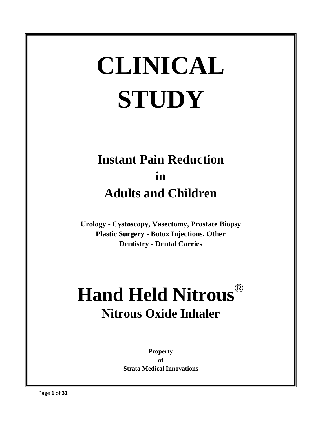# **CLINICAL STUDY**

### **Instant Pain Reduction in Adults and Children**

**Urology - Cystoscopy, Vasectomy, Prostate Biopsy Plastic Surgery - Botox Injections, Other Dentistry - Dental Carries**

## **Hand Held Nitrous® Nitrous Oxide Inhaler**

**Property of Strata Medical Innovations**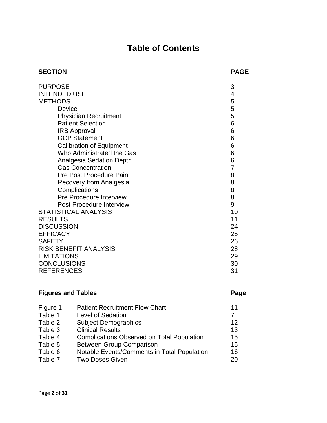### **Table of Contents**

| <b>SECTION</b>                  | <b>PAGE</b>    |
|---------------------------------|----------------|
| <b>PURPOSE</b>                  | 3              |
| <b>INTENDED USE</b>             | 4              |
| <b>METHODS</b>                  | 5              |
| Device                          | 5              |
| <b>Physician Recruitment</b>    | 5              |
| <b>Patient Selection</b>        | 6              |
| <b>IRB Approval</b>             | 6              |
| <b>GCP Statement</b>            | 6              |
| <b>Calibration of Equipment</b> | 6              |
| Who Administrated the Gas       | 6              |
| <b>Analgesia Sedation Depth</b> | 6              |
| <b>Gas Concentration</b>        | $\overline{7}$ |
| Pre Post Procedure Pain         | 8              |
| Recovery from Analgesia         | 8              |
| Complications                   | 8              |
| <b>Pre Procedure Interview</b>  | 8              |
| <b>Post Procedure Interview</b> | $\mathsf 9$    |
| <b>STATISTICAL ANALYSIS</b>     | 10             |
| <b>RESULTS</b>                  | 11             |
| <b>DISCUSSION</b>               | 24             |
| <b>EFFICACY</b>                 | 25             |
| <b>SAFETY</b>                   | 26             |
| <b>RISK BENEFIT ANALYSIS</b>    | 28             |
| <b>LIMITATIONS</b>              | 29             |
| <b>CONCLUSIONS</b>              | 30             |
| <b>REFERENCES</b>               | 31             |
|                                 |                |

#### **Figures and Tables Page**

| Figure 1 | <b>Patient Recruitment Flow Chart</b>             | 11 |
|----------|---------------------------------------------------|----|
| Table 1  | Level of Sedation                                 |    |
| Table 2  | <b>Subject Demographics</b>                       | 12 |
| Table 3  | <b>Clinical Results</b>                           | 13 |
| Table 4  | <b>Complications Observed on Total Population</b> | 15 |
| Table 5  | <b>Between Group Comparison</b>                   | 15 |
| Table 6  | Notable Events/Comments in Total Population       | 16 |
| Table 7  | <b>Two Doses Given</b>                            | 20 |
|          |                                                   |    |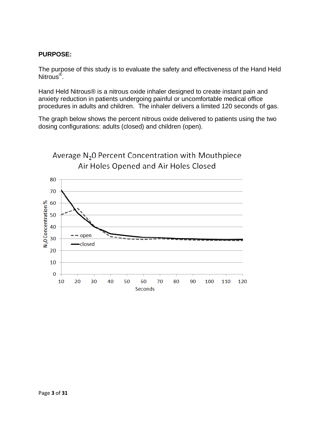#### **PURPOSE:**

The purpose of this study is to evaluate the safety and effectiveness of the Hand Held Nitrous<sup>®</sup>.

Hand Held Nitrous® is a nitrous oxide inhaler designed to create instant pain and anxiety reduction in patients undergoing painful or uncomfortable medical office procedures in adults and children. The inhaler delivers a limited 120 seconds of gas.

The graph below shows the percent nitrous oxide delivered to patients using the two dosing configurations: adults (closed) and children (open).

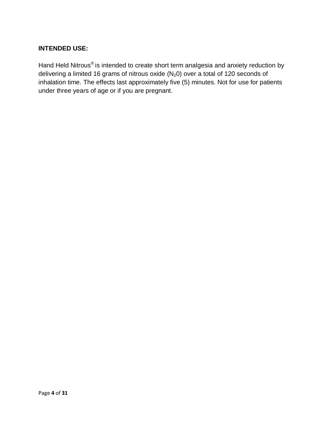#### **INTENDED USE:**

Hand Held Nitrous® is intended to create short term analgesia and anxiety reduction by delivering a limited 16 grams of nitrous oxide  $(N_20)$  over a total of 120 seconds of inhalation time. The effects last approximately five (5) minutes. Not for use for patients under three years of age or if you are pregnant.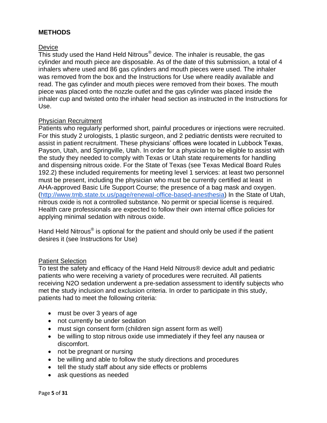#### **METHODS**

#### **Device**

This study used the Hand Held Nitrous $^{\circledast}$  device. The inhaler is reusable, the gas cylinder and mouth piece are disposable. As of the date of this submission, a total of 4 inhalers where used and 86 gas cylinders and mouth pieces were used. The inhaler was removed from the box and the Instructions for Use where readily available and read. The gas cylinder and mouth pieces were removed from their boxes. The mouth piece was placed onto the nozzle outlet and the gas cylinder was placed inside the inhaler cup and twisted onto the inhaler head section as instructed in the Instructions for Use.

#### Physician Recruitment

Patients who regularly performed short, painful procedures or injections were recruited. For this study 2 urologists, 1 plastic surgeon, and 2 pediatric dentists were recruited to assist in patient recruitment. These physicians' offices were located in Lubbock Texas, Payson, Utah, and Springville, Utah. In order for a physician to be eligible to assist with the study they needed to comply with Texas or Utah state requirements for handling and dispensing nitrous oxide. For the State of Texas (see Texas Medical Board Rules 192.2) these included requirements for meeting level 1 services: at least two personnel must be present, including the physician who must be currently certified at least in AHA-approved Basic Life Support Course; the presence of a bag mask and oxygen. [\(http://www.tmb.state.tx.us/page/renewal-office-based-anesthesia\)](http://www.tmb.state.tx.us/page/renewal-office-based-anesthesia) In the State of Utah, nitrous oxide is not a controlled substance. No permit or special license is required. Health care professionals are expected to follow their own internal office policies for applying minimal sedation with nitrous oxide.

Hand Held Nitrous® is optional for the patient and should only be used if the patient desires it (see Instructions for Use)

#### Patient Selection

To test the safety and efficacy of the Hand Held Nitrous® device adult and pediatric patients who were receiving a variety of procedures were recruited. All patients receiving N2O sedation underwent a pre-sedation assessment to identify subjects who met the study inclusion and exclusion criteria. In order to participate in this study, patients had to meet the following criteria:

- must be over 3 years of age
- not currently be under sedation
- must sign consent form (children sign assent form as well)
- be willing to stop nitrous oxide use immediately if they feel any nausea or discomfort.
- not be pregnant or nursing
- be willing and able to follow the study directions and procedures
- tell the study staff about any side effects or problems
- ask questions as needed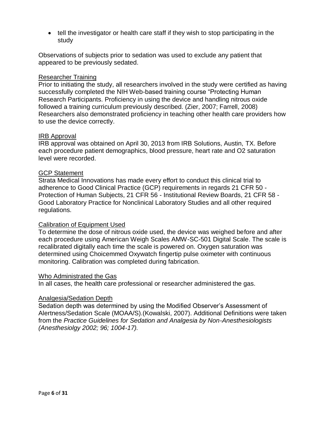tell the investigator or health care staff if they wish to stop participating in the study

Observations of subjects prior to sedation was used to exclude any patient that appeared to be previously sedated.

#### Researcher Training

Prior to initiating the study, all researchers involved in the study were certified as having successfully completed the NIH Web-based training course "Protecting Human Research Participants. Proficiency in using the device and handling nitrous oxide followed a training curriculum previously described. (Zier, 2007; Farrell, 2008) Researchers also demonstrated proficiency in teaching other health care providers how to use the device correctly.

#### IRB Approval

IRB approval was obtained on April 30, 2013 from IRB Solutions, Austin, TX. Before each procedure patient demographics, blood pressure, heart rate and O2 saturation level were recorded.

#### GCP Statement

Strata Medical Innovations has made every effort to conduct this clinical trial to adherence to Good Clinical Practice (GCP) requirements in regards 21 CFR 50 - Protection of Human Subjects, 21 CFR 56 - Institutional Review Boards, 21 CFR 58 - Good Laboratory Practice for Nonclinical Laboratory Studies and all other required regulations.

#### Calibration of Equipment Used

To determine the dose of nitrous oxide used, the device was weighed before and after each procedure using American Weigh Scales AMW-SC-501 Digital Scale. The scale is recalibrated digitally each time the scale is powered on. Oxygen saturation was determined using Choicemmed Oxywatch fingertip pulse oximeter with continuous monitoring. Calibration was completed during fabrication.

#### Who Administrated the Gas

In all cases, the health care professional or researcher administered the gas.

#### Analgesia/Sedation Depth

Sedation depth was determined by using the Modified Observer's Assessment of Alertness/Sedation Scale (MOAA/S).(Kowalski, 2007). Additional Definitions were taken from the *Practice Guidelines for Sedation and Analgesia by Non-Anesthesiologists (Anesthesiolgy 2002; 96; 1004-17).*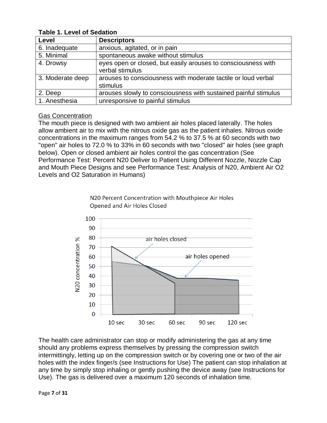| Level            | <b>Descriptors</b>                                                               |
|------------------|----------------------------------------------------------------------------------|
| 6. Inadequate    | anxious, agitated, or in pain                                                    |
| 5. Minimal       | spontaneous awake without stimulus                                               |
| 4. Drowsy        | eyes open or closed, but easily arouses to consciousness with<br>verbal stimulus |
| 3. Moderate deep | arouses to consciousness with moderate tactile or loud verbal<br>stimulus        |
| 2. Deep          | arouses slowly to consciousness with sustained painful stimulus                  |
| 1. Anesthesia    | unresponsive to painful stimulus                                                 |

#### **Table 1. Level of Sedation**

#### Gas Concentration

The mouth piece is designed with two ambient air holes placed laterally. The holes allow ambient air to mix with the nitrous oxide gas as the patient inhales. Nitrous oxide concentrations in the maximum ranges from 54.2 % to 37.5 % at 60 seconds with two "open" air holes to 72.0 % to 33% in 60 seconds with two "closed" air holes (see graph below). Open or closed ambient air holes control the gas concentration (See Performance Test: Percent N20 Deliver to Patient Using Different Nozzle, Nozzle Cap and Mouth Piece Designs and see Performance Test: Analysis of N20, Ambient Air O2 Levels and O2 Saturation in Humans)



N20 Percent Concentration with Mouthpiece Air Holes Opened and Air Holes Closed

The health care administrator can stop or modify administering the gas at any time should any problems express themselves by pressing the compression switch intermittingly, letting up on the compression switch or by covering one or two of the air holes with the index finger/s (see Instructions for Use) The patient can stop inhalation at any time by simply stop inhaling or gently pushing the device away (see Instructions for Use). The gas is delivered over a maximum 120 seconds of inhalation time.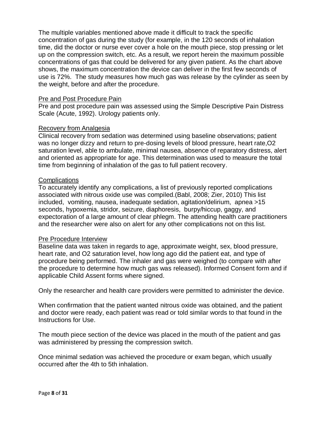The multiple variables mentioned above made it difficult to track the specific concentration of gas during the study (for example, in the 120 seconds of inhalation time, did the doctor or nurse ever cover a hole on the mouth piece, stop pressing or let up on the compression switch, etc. As a result, we report herein the maximum possible concentrations of gas that could be delivered for any given patient. As the chart above shows, the maximum concentration the device can deliver in the first few seconds of use is 72%. The study measures how much gas was release by the cylinder as seen by the weight, before and after the procedure.

#### Pre and Post Procedure Pain

Pre and post procedure pain was assessed using the Simple Descriptive Pain Distress Scale (Acute, 1992). Urology patients only.

#### Recovery from Analgesia

Clinical recovery from sedation was determined using baseline observations; patient was no longer dizzy and return to pre-dosing levels of blood pressure, heart rate,O2 saturation level, able to ambulate, minimal nausea, absence of reparatory distress, alert and oriented as appropriate for age. This determination was used to measure the total time from beginning of inhalation of the gas to full patient recovery.

#### **Complications**

To accurately identify any complications, a list of previously reported complications associated with nitrous oxide use was compiled.(Babl, 2008; Zier, 2010) This list included, vomiting, nausea, inadequate sedation, agitation/delirium, apnea >15 seconds, hypoxemia, stridor, seizure, diaphoresis, burpy/hiccup, gaggy, and expectoration of a large amount of clear phlegm. The attending health care practitioners and the researcher were also on alert for any other complications not on this list.

#### Pre Procedure Interview

Baseline data was taken in regards to age, approximate weight, sex, blood pressure, heart rate, and O2 saturation level, how long ago did the patient eat, and type of procedure being performed. The inhaler and gas were weighed (to compare with after the procedure to determine how much gas was released). Informed Consent form and if applicable Child Assent forms where signed.

Only the researcher and health care providers were permitted to administer the device.

When confirmation that the patient wanted nitrous oxide was obtained, and the patient and doctor were ready, each patient was read or told similar words to that found in the Instructions for Use.

The mouth piece section of the device was placed in the mouth of the patient and gas was administered by pressing the compression switch.

Once minimal sedation was achieved the procedure or exam began, which usually occurred after the 4th to 5th inhalation.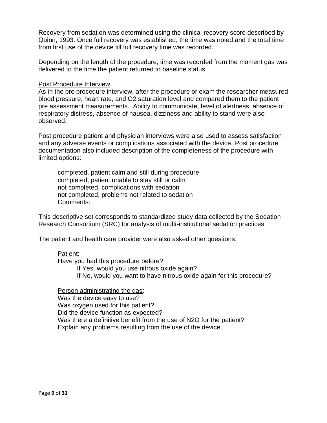Recovery from sedation was determined using the clinical recovery score described by Quinn, 1993. Once full recovery was established, the time was noted and the total time from first use of the device till full recovery time was recorded.

Depending on the length of the procedure, time was recorded from the moment gas was delivered to the time the patient returned to baseline status.

#### Post Procedure Interview

As in the pre procedure interview, after the procedure or exam the researcher measured blood pressure, heart rate, and O2 saturation level and compared them to the patient pre assessment measurements. Ability to communicate, level of alertness, absence of respiratory distress, absence of nausea, dizziness and ability to stand were also observed.

Post procedure patient and physician interviews were also used to assess satisfaction and any adverse events or complications associated with the device. Post procedure documentation also included description of the completeness of the procedure with limited options:

completed, patient calm and still during procedure completed, patient unable to stay still or calm not completed, complications with sedation not completed, problems not related to sedation Comments:

This descriptive set corresponds to standardized study data collected by the Sedation Research Consortium (SRC) for analysis of multi-institutional sedation practices.

The patient and health care provider were also asked other questions:

#### Patient:

Have you had this procedure before?

If Yes, would you use nitrous oxide again?

If No, would you want to have nitrous oxide again for this procedure?

#### Person administrating the gas:

Was the device easy to use? Was oxygen used for this patient? Did the device function as expected? Was there a definitive benefit from the use of N2O for the patient? Explain any problems resulting from the use of the device.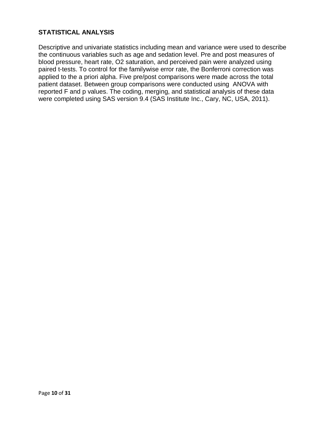#### **STATISTICAL ANALYSIS**

Descriptive and univariate statistics including mean and variance were used to describe the continuous variables such as age and sedation level. Pre and post measures of blood pressure, heart rate, O2 saturation, and perceived pain were analyzed using paired t-tests. To control for the familywise error rate, the Bonferroni correction was applied to the a priori alpha. Five pre/post comparisons were made across the total patient dataset. Between group comparisons were conducted using ANOVA with reported F and p values. The coding, merging, and statistical analysis of these data were completed using SAS version 9.4 (SAS Institute Inc., Cary, NC, USA, 2011).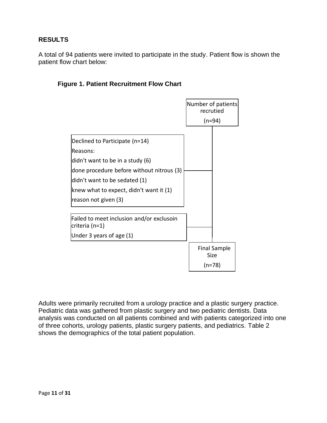#### **RESULTS**

A total of 94 patients were invited to participate in the study. Patient flow is shown the patient flow chart below:

#### **Figure 1. Patient Recruitment Flow Chart**



Adults were primarily recruited from a urology practice and a plastic surgery practice. Pediatric data was gathered from plastic surgery and two pediatric dentists. Data analysis was conducted on all patients combined and with patients categorized into one of three cohorts, urology patients, plastic surgery patients, and pediatrics. Table 2 shows the demographics of the total patient population.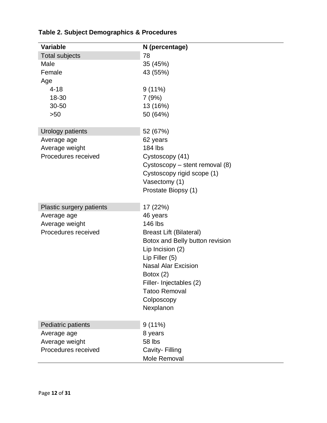| <b>Variable</b>          | N (percentage)                  |
|--------------------------|---------------------------------|
| <b>Total subjects</b>    | 78                              |
| Male                     | 35 (45%)                        |
| Female                   | 43 (55%)                        |
| Age                      |                                 |
| $4 - 18$                 | 9(11%)                          |
| 18-30                    | 7(9%)                           |
| 30-50                    | 13 (16%)                        |
| >50                      | 50 (64%)                        |
| Urology patients         | 52 (67%)                        |
| Average age              | 62 years                        |
| Average weight           | 184 lbs                         |
| Procedures received      | Cystoscopy (41)                 |
|                          | Cystoscopy - stent removal (8)  |
|                          | Cystoscopy rigid scope (1)      |
|                          | Vasectomy (1)                   |
|                          | Prostate Biopsy (1)             |
| Plastic surgery patients | 17 (22%)                        |
| Average age              | 46 years                        |
| Average weight           | 146 lbs                         |
| Procedures received      | <b>Breast Lift (Bilateral)</b>  |
|                          | Botox and Belly button revision |
|                          | Lip Incision (2)                |
|                          | Lip Filler (5)                  |
|                          | <b>Nasal Alar Excision</b>      |
|                          | Botox $(2)$                     |
|                          | Filler- Injectables (2)         |
|                          | <b>Tatoo Removal</b>            |
|                          | Colposcopy                      |
|                          | Nexplanon                       |
| Pediatric patients       | 9(11%)                          |
| Average age              | 8 years                         |
| Average weight           | 58 lbs                          |
| Procedures received      | Cavity- Filling                 |
|                          | Mole Removal                    |

#### **Table 2. Subject Demographics & Procedures**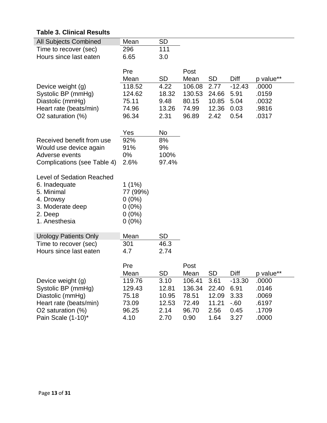#### **Table 3. Clinical Results**

| <b>All Subjects Combined</b>            | Mean          | <b>SD</b>    |               |              |              |                    |
|-----------------------------------------|---------------|--------------|---------------|--------------|--------------|--------------------|
| Time to recover (sec)                   | 296           | 111          |               |              |              |                    |
| Hours since last eaten                  | 6.65          | 3.0          |               |              |              |                    |
|                                         |               |              |               |              |              |                    |
|                                         | Pre<br>Mean   | <b>SD</b>    | Post<br>Mean  |              | Diff         |                    |
| Device weight (g)                       | 118.52        | 4.22         | 106.08        | SD<br>2.77   | $-12.43$     | p value**<br>.0000 |
| Systolic BP (mmHg)                      | 124.62        | 18.32        | 130.53        | 24.66        | 5.91         | .0159              |
| Diastolic (mmHg)                        | 75.11         | 9.48         | 80.15         | 10.85        | 5.04         | .0032              |
| Heart rate (beats/min)                  | 74.96         | 13.26        | 74.99         | 12.36        | 0.03         | .9816              |
| O2 saturation (%)                       | 96.34         | 2.31         | 96.89         | 2.42         | 0.54         | .0317              |
|                                         |               |              |               |              |              |                    |
|                                         | Yes           | No           |               |              |              |                    |
| Received benefit from use               | 92%           | 8%           |               |              |              |                    |
| Would use device again                  | 91%           | 9%           |               |              |              |                    |
| Adverse events                          | $0\%$         | 100%         |               |              |              |                    |
| Complications (see Table 4)             | 2.6%          | 97.4%        |               |              |              |                    |
| <b>Level of Sedation Reached</b>        |               |              |               |              |              |                    |
| 6. Inadequate                           | $1(1\%)$      |              |               |              |              |                    |
| 5. Minimal                              | 77 (99%)      |              |               |              |              |                    |
| 4. Drowsy                               | $0(0\%)$      |              |               |              |              |                    |
| 3. Moderate deep                        | $0(0\%)$      |              |               |              |              |                    |
| 2. Deep                                 | $0(0\%)$      |              |               |              |              |                    |
| 1. Anesthesia                           | $0(0\%)$      |              |               |              |              |                    |
| <b>Urology Patients Only</b>            | Mean          | <b>SD</b>    |               |              |              |                    |
| Time to recover (sec)                   | 301           | 46.3         |               |              |              |                    |
| Hours since last eaten                  | 4.7           | 2.74         |               |              |              |                    |
|                                         |               |              |               |              |              |                    |
|                                         | Pre           |              | Post          |              |              |                    |
|                                         | Mean          | <b>SD</b>    | Mean          | <b>SD</b>    | Diff         | p value**          |
| Device weight (g)                       | 119.76        | 3.10         | 106.41        | 3.61         | $-13.30$     | .0000              |
| Systolic BP (mmHg)                      | 129.43        | 12.81        | 136.34        | 22.40        | 6.91         | .0146              |
| Diastolic (mmHg)                        | 75.18         | 10.95        | 78.51         | 12.09        | 3.33         | .0069              |
| Heart rate (beats/min)                  | 73.09         | 12.53        | 72.49         | 11.21        | $-60$        | .6197              |
|                                         |               |              |               |              |              |                    |
| O2 saturation (%)<br>Pain Scale (1-10)* | 96.25<br>4.10 | 2.14<br>2.70 | 96.70<br>0.90 | 2.56<br>1.64 | 0.45<br>3.27 | .1709<br>.0000     |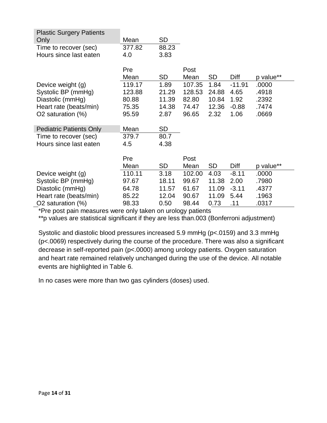| <b>Plastic Surgery Patients</b> |        |           |        |           |          |           |
|---------------------------------|--------|-----------|--------|-----------|----------|-----------|
| Only                            | Mean   | <b>SD</b> |        |           |          |           |
| Time to recover (sec)           | 377.82 | 88.23     |        |           |          |           |
| Hours since last eaten          | 4.0    | 3.83      |        |           |          |           |
|                                 |        |           |        |           |          |           |
|                                 | Pre    |           | Post   |           |          |           |
|                                 | Mean   | <b>SD</b> | Mean   | SD        | Diff     | p value** |
| Device weight (g)               | 119.17 | 1.89      | 107.35 | 1.84      | $-11.91$ | .0000     |
| Systolic BP (mmHg)              | 123.88 | 21.29     | 128.53 | 24.88     | 4.65     | .4918     |
| Diastolic (mmHg)                | 80.88  | 11.39     | 82.80  | 10.84     | 1.92     | .2392     |
| Heart rate (beats/min)          | 75.35  | 14.38     | 74.47  | 12.36     | $-0.88$  | .7474     |
| O2 saturation (%)               | 95.59  | 2.87      | 96.65  | 2.32      | 1.06     | .0669     |
|                                 |        |           |        |           |          |           |
| <b>Pediatric Patients Only</b>  | Mean   | <b>SD</b> |        |           |          |           |
| Time to recover (sec)           | 379.7  | 80.7      |        |           |          |           |
| Hours since last eaten          | 4.5    | 4.38      |        |           |          |           |
|                                 |        |           |        |           |          |           |
|                                 | Pre    |           | Post   |           |          |           |
|                                 | Mean   | <b>SD</b> | Mean   | <b>SD</b> | Diff     | p value** |
| Device weight (g)               | 110.11 | 3.18      | 102.00 | 4.03      | $-8.11$  | .0000     |
| Systolic BP (mmHg)              | 97.67  | 18.11     | 99.67  | 11.38     | 2.00     | .7980     |
| Diastolic (mmHg)                | 64.78  | 11.57     | 61.67  | 11.09     | $-3.11$  | .4377     |
| Heart rate (beats/min)          | 85.22  | 12.04     | 90.67  | 11.09     | 5.44     | .1963     |
| O2 saturation (%)               | 98.33  | 0.50      | 98.44  | 0.73      | .11      | .0317     |

\*Pre post pain measures were only taken on urology patients

\*\*p values are statistical significant if they are less than.003 (Bonferroni adjustment)

Systolic and diastolic blood pressures increased 5.9 mmHg (p<.0159) and 3.3 mmHg (p<.0069) respectively during the course of the procedure. There was also a significant decrease in self-reported pain (p<.0000) among urology patients. Oxygen saturation and heart rate remained relatively unchanged during the use of the device. All notable events are highlighted in Table 6.

In no cases were more than two gas cylinders (doses) used.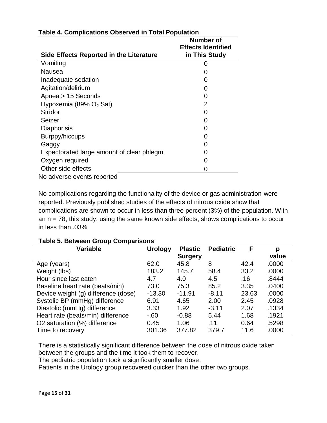| Side Effects Reported in the Literature   | Number of<br><b>Effects Identified</b><br>in This Study |
|-------------------------------------------|---------------------------------------------------------|
| Vomiting                                  | 0                                                       |
| Nausea                                    |                                                         |
| Inadequate sedation                       |                                                         |
| Agitation/delirium                        |                                                         |
| Apnea > 15 Seconds                        | $\mathbf{\Omega}$                                       |
| Hypoxemia (89% $O2$ Sat)                  | 2                                                       |
| <b>Stridor</b>                            |                                                         |
| Seizer                                    |                                                         |
| <b>Diaphorisis</b>                        | 0                                                       |
| Burppy/hiccups                            | 0                                                       |
| Gaggy                                     |                                                         |
| Expectorated large amount of clear phlegm |                                                         |
| Oxygen required                           |                                                         |
| Other side effects                        |                                                         |
| No adverse events reported                |                                                         |

#### **Table 4. Complications Observed in Total Population**

No complications regarding the functionality of the device or gas administration were reported. Previously published studies of the effects of nitrous oxide show that complications are shown to occur in less than three percent (3%) of the population. With an  $n = 78$ , this study, using the same known side effects, shows complications to occur in less than .03%

| <b>Variable</b>                     | <b>Urology</b> | <b>Plastic</b> | <b>Pediatric</b> | F     | р     |
|-------------------------------------|----------------|----------------|------------------|-------|-------|
|                                     |                | <b>Surgery</b> |                  |       | value |
| Age (years)                         | 62.0           | 45.8           | 8                | 42.4  | .0000 |
| Weight (lbs)                        | 183.2          | 145.7          | 58.4             | 33.2  | .0000 |
| Hour since last eaten               | 4.7            | 4.0            | 4.5              | .16   | .8444 |
| Baseline heart rate (beats/min)     | 73.0           | 75.3           | 85.2             | 3.35  | .0400 |
| Device weight (g) difference (dose) | $-13.30$       | $-11.91$       | $-8.11$          | 23.63 | .0000 |
| Systolic BP (mmHg) difference       | 6.91           | 4.65           | 2.00             | 2.45  | .0928 |
| Diastolic (mmHg) difference         | 3.33           | 1.92           | $-3.11$          | 2.07  | .1334 |
| Heart rate (beats/min) difference   | $-60$          | $-0.88$        | 5.44             | 1.68  | .1921 |
| O2 saturation (%) difference        | 0.45           | 1.06           | .11              | 0.64  | .5298 |
| Time to recovery                    | 301.36         | 377.82         | 379.7            | 11.6  | .0000 |

#### **Table 5. Between Group Comparisons**

There is a statistically significant difference between the dose of nitrous oxide taken between the groups and the time it took them to recover.

The pediatric population took a significantly smaller dose.

Patients in the Urology group recovered quicker than the other two groups.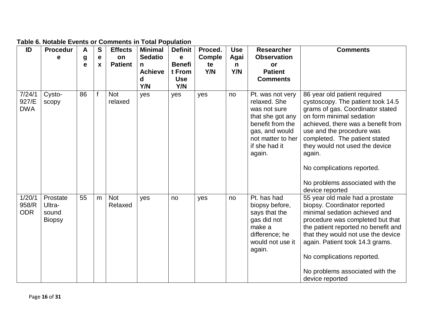| ID                            | <b>Procedur</b>                              | A           | $\mathbf{s}$     | <b>Effects</b>        | <b>Minimal</b> | <b>Definit</b> | Proced.       | <b>Use</b> | <b>Researcher</b>                                                                                                                                          | <b>Comments</b>                                                                                                                                                                                                                                                                                                                          |
|-------------------------------|----------------------------------------------|-------------|------------------|-----------------------|----------------|----------------|---------------|------------|------------------------------------------------------------------------------------------------------------------------------------------------------------|------------------------------------------------------------------------------------------------------------------------------------------------------------------------------------------------------------------------------------------------------------------------------------------------------------------------------------------|
|                               | е                                            | g           | e                | on                    | <b>Sedatio</b> | $\mathbf e$    | <b>Comple</b> | Agai       | <b>Observation</b>                                                                                                                                         |                                                                                                                                                                                                                                                                                                                                          |
|                               |                                              | $\mathbf e$ | $\boldsymbol{x}$ | <b>Patient</b>        | n              | <b>Benefi</b>  | te            | n          | or                                                                                                                                                         |                                                                                                                                                                                                                                                                                                                                          |
|                               |                                              |             |                  |                       | <b>Achieve</b> | t From         | Y/N           | Y/N        | <b>Patient</b>                                                                                                                                             |                                                                                                                                                                                                                                                                                                                                          |
|                               |                                              |             |                  |                       | d              | <b>Use</b>     |               |            | <b>Comments</b>                                                                                                                                            |                                                                                                                                                                                                                                                                                                                                          |
|                               |                                              |             |                  |                       | Y/N            | Y/N            |               |            |                                                                                                                                                            |                                                                                                                                                                                                                                                                                                                                          |
| 7/24/1<br>927/E<br><b>DWA</b> | Cysto-<br>scopy                              | 86          |                  | <b>Not</b><br>relaxed | yes            | yes            | yes           | no         | Pt. was not very<br>relaxed. She<br>was not sure<br>that she got any<br>benefit from the<br>gas, and would<br>not matter to her<br>if she had it<br>again. | 86 year old patient required<br>cystoscopy. The patient took 14.5<br>grams of gas. Coordinator stated<br>on form minimal sedation<br>achieved, there was a benefit from<br>use and the procedure was<br>completed. The patient stated<br>they would not used the device<br>again.<br>No complications reported.                          |
|                               |                                              |             |                  |                       |                |                |               |            |                                                                                                                                                            | No problems associated with the<br>device reported                                                                                                                                                                                                                                                                                       |
| 1/20/1<br>958/R<br><b>ODR</b> | Prostate<br>Ultra-<br>sound<br><b>Biopsy</b> | 55          | m                | <b>Not</b><br>Relaxed | yes            | no             | yes           | no         | Pt. has had<br>biopsy before,<br>says that the<br>gas did not<br>make a<br>difference; he<br>would not use it<br>again.                                    | 55 year old male had a prostate<br>biopsy. Coordinator reported<br>minimal sedation achieved and<br>procedure was completed but that<br>the patient reported no benefit and<br>that they would not use the device<br>again. Patient took 14.3 grams.<br>No complications reported.<br>No problems associated with the<br>device reported |

#### **Table 6. Notable Events or Comments in Total Population**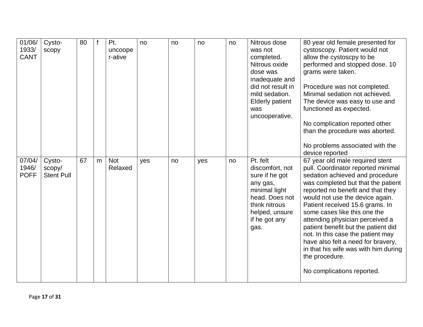| 01/06/<br>1933/<br><b>CANT</b> | Cysto-<br>scopy                       | 80 |   | Pt.<br>uncoope<br>r-ative | no  | no | no  | no | Nitrous dose<br>was not<br>completed.<br>Nitrous oxide<br>dose was<br>inadequate and<br>did not result in<br>mild sedation.<br><b>Elderly patient</b><br>was<br>uncooperative. | 80 year old female presented for<br>cystoscopy. Patient would not<br>allow the cystoscpy to be<br>performed and stopped dose. 10<br>grams were taken.<br>Procedure was not completed.<br>Minimal sedation not achieved.<br>The device was easy to use and<br>functioned as expected.<br>No complication reported other<br>than the procedure was aborted.<br>No problems associated with the<br>device reported                                                                                                                        |
|--------------------------------|---------------------------------------|----|---|---------------------------|-----|----|-----|----|--------------------------------------------------------------------------------------------------------------------------------------------------------------------------------|----------------------------------------------------------------------------------------------------------------------------------------------------------------------------------------------------------------------------------------------------------------------------------------------------------------------------------------------------------------------------------------------------------------------------------------------------------------------------------------------------------------------------------------|
| 07/04/<br>1946/<br><b>POFF</b> | Cysto-<br>scopy/<br><b>Stent Pull</b> | 67 | m | <b>Not</b><br>Relaxed     | yes | no | yes | no | Pt. felt<br>discomfort, not<br>sure if he got<br>any gas,<br>minimal light<br>head. Does not<br>think nitrous<br>helped, unsure<br>if he got any<br>gas.                       | 67 year old male required stent<br>pull. Coordinator reported minimal<br>sedation achieved and procedure<br>was completed but that the patient<br>reported no benefit and that they<br>would not use the device again.<br>Patient received 15.6 grams. In<br>some cases like this one the<br>attending physician perceived a<br>patient benefit but the patient did<br>not. In this case the patient may<br>have also felt a need for bravery,<br>in that his wife was with him during<br>the procedure.<br>No complications reported. |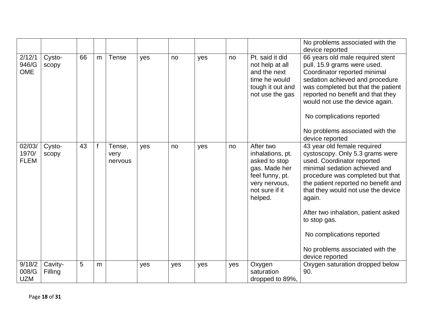|                                |                    |    |   |                           |     |     |     |     |                                                                                                                                  | No problems associated with the<br>device reported                                                                                                                                                                                                                                                                                                                                                 |
|--------------------------------|--------------------|----|---|---------------------------|-----|-----|-----|-----|----------------------------------------------------------------------------------------------------------------------------------|----------------------------------------------------------------------------------------------------------------------------------------------------------------------------------------------------------------------------------------------------------------------------------------------------------------------------------------------------------------------------------------------------|
| 2/12/1<br>946/G<br><b>OME</b>  | Cysto-<br>scopy    | 66 | m | <b>Tense</b>              | yes | no  | yes | no  | Pt. said it did<br>not help at all<br>and the next<br>time he would<br>tough it out and<br>not use the gas                       | 66 years old male required stent<br>pull. 15.9 grams were used.<br>Coordinator reported minimal<br>sedation achieved and procedure<br>was completed but that the patient<br>reported no benefit and that they<br>would not use the device again.<br>No complications reported<br>No problems associated with the<br>device reported                                                                |
| 02/03/<br>1970/<br><b>FLEM</b> | Cysto-<br>scopy    | 43 |   | Tense,<br>very<br>nervous | yes | no  | yes | no  | After two<br>inhalations, pt.<br>asked to stop<br>gas. Made her<br>feel funny, pt.<br>very nervous,<br>not sure if it<br>helped. | 43 year old female required<br>cystoscopy. Only 5.3 grams were<br>used. Coordinator reported<br>minimal sedation achieved and<br>procedure was completed but that<br>the patient reported no benefit and<br>that they would not use the device<br>again.<br>After two inhalation, patient asked<br>to stop gas.<br>No complications reported<br>No problems associated with the<br>device reported |
| 9/18/2<br>008/G<br><b>UZM</b>  | Cavity-<br>Filling | 5  | m |                           | yes | yes | yes | yes | Oxygen<br>saturation<br>dropped to 89%,                                                                                          | Oxygen saturation dropped below<br>90.                                                                                                                                                                                                                                                                                                                                                             |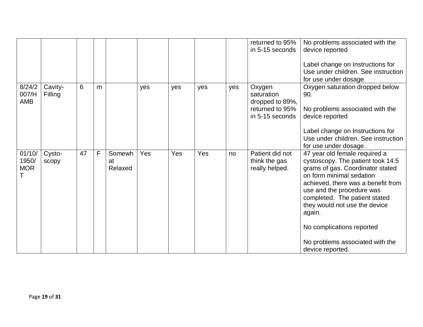|                               |                    |    |   |                         |     |     |     |     | returned to 95%<br>in 5-15 seconds                                            | No problems associated with the<br>device reported<br>Label change on Instructions for<br>Use under children. See instruction<br>for use under dosage.                                                                                                                                                                                                                |
|-------------------------------|--------------------|----|---|-------------------------|-----|-----|-----|-----|-------------------------------------------------------------------------------|-----------------------------------------------------------------------------------------------------------------------------------------------------------------------------------------------------------------------------------------------------------------------------------------------------------------------------------------------------------------------|
| 8/24/2<br>007/H<br>AMB        | Cavity-<br>Filling | 6  | m |                         | yes | yes | yes | yes | Oxygen<br>saturation<br>dropped to 89%,<br>returned to 95%<br>in 5-15 seconds | Oxygen saturation dropped below<br>90.<br>No problems associated with the<br>device reported<br>Label change on Instructions for<br>Use under children. See instruction<br>for use under dosage.                                                                                                                                                                      |
| 01/10/<br>1950/<br><b>MOR</b> | Cysto-<br>scopy    | 47 | F | Somewh<br>at<br>Relaxed | Yes | Yes | Yes | no  | Patient did not<br>think the gas<br>really helped.                            | 47 year old female required a<br>cystoscopy. The patient took 14.5<br>grams of gas. Coordinator stated<br>on form minimal sedation<br>achieved, there was a benefit from<br>use and the procedure was<br>completed. The patient stated<br>they would not use the device<br>again.<br>No complications reported<br>No problems associated with the<br>device reported. |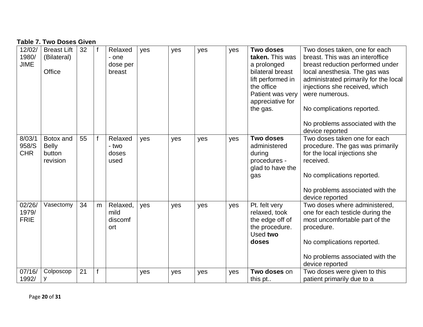#### **Table 7. Two Doses Given**

| 12/02/<br>1980/<br><b>JIME</b> | <b>Breast Lift</b><br>(Bilateral)<br>Office     | 32 |   | Relaxed<br>- one<br>dose per<br>breast | yes | yes | yes | yes | <b>Two doses</b><br>taken. This was<br>a prolonged<br>bilateral breast<br>lift performed in<br>the office<br>Patient was very<br>appreciative for<br>the gas. | Two doses taken, one for each<br>breast. This was an interoffice<br>breast reduction performed under<br>local anesthesia. The gas was<br>administrated primarily for the local<br>injections she received, which<br>were numerous.<br>No complications reported. |
|--------------------------------|-------------------------------------------------|----|---|----------------------------------------|-----|-----|-----|-----|---------------------------------------------------------------------------------------------------------------------------------------------------------------|------------------------------------------------------------------------------------------------------------------------------------------------------------------------------------------------------------------------------------------------------------------|
|                                |                                                 |    |   |                                        |     |     |     |     |                                                                                                                                                               | No problems associated with the<br>device reported                                                                                                                                                                                                               |
| 8/03/1<br>958/S<br><b>CHR</b>  | Botox and<br><b>Belly</b><br>button<br>revision | 55 |   | Relaxed<br>- two<br>doses<br>used      | yes | yes | yes | yes | <b>Two doses</b><br>administered<br>during<br>procedures -<br>glad to have the<br>gas                                                                         | Two doses taken one for each<br>procedure. The gas was primarily<br>for the local injections she<br>received.<br>No complications reported.<br>No problems associated with the<br>device reported                                                                |
| 02/26/<br>1979/<br><b>FRIE</b> | Vasectomy                                       | 34 | m | Relaxed,<br>mild<br>discomf<br>ort     | yes | yes | yes | yes | Pt. felt very<br>relaxed, took<br>the edge off of<br>the procedure.<br>Used two<br>doses                                                                      | Two doses where administered,<br>one for each testicle during the<br>most uncomfortable part of the<br>procedure.<br>No complications reported.<br>No problems associated with the<br>device reported                                                            |
| 07/16/<br>1992/                | Colposcop<br>у                                  | 21 | f |                                        | yes | yes | yes | yes | Two doses on<br>this pt                                                                                                                                       | Two doses were given to this<br>patient primarily due to a                                                                                                                                                                                                       |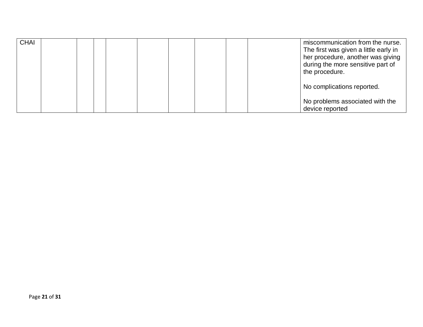| <b>CHAI</b> |  | miscommunication from the nurse.<br>The first was given a little early in<br>her procedure, another was giving<br>during the more sensitive part of<br>the procedure. |
|-------------|--|-----------------------------------------------------------------------------------------------------------------------------------------------------------------------|
|             |  | No complications reported.<br>No problems associated with the<br>device reported                                                                                      |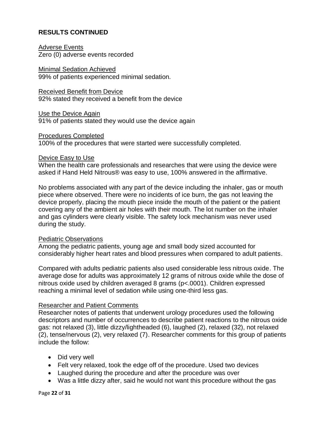#### **RESULTS CONTINUED**

Adverse Events Zero (0) adverse events recorded

Minimal Sedation Achieved 99% of patients experienced minimal sedation.

Received Benefit from Device 92% stated they received a benefit from the device

Use the Device Again 91% of patients stated they would use the device again

Procedures Completed 100% of the procedures that were started were successfully completed.

#### Device Easy to Use

When the health care professionals and researches that were using the device were asked if Hand Held Nitrous® was easy to use, 100% answered in the affirmative.

No problems associated with any part of the device including the inhaler, gas or mouth piece where observed. There were no incidents of ice burn, the gas not leaving the device properly, placing the mouth piece inside the mouth of the patient or the patient covering any of the ambient air holes with their mouth. The lot number on the inhaler and gas cylinders were clearly visible. The safety lock mechanism was never used during the study.

#### Pediatric Observations

Among the pediatric patients, young age and small body sized accounted for considerably higher heart rates and blood pressures when compared to adult patients.

Compared with adults pediatric patients also used considerable less nitrous oxide. The average dose for adults was approximately 12 grams of nitrous oxide while the dose of nitrous oxide used by children averaged 8 grams (p<.0001). Children expressed reaching a minimal level of sedation while using one-third less gas.

#### Researcher and Patient Comments

Researcher notes of patients that underwent urology procedures used the following descriptors and number of occurrences to describe patient reactions to the nitrous oxide gas: not relaxed (3), little dizzy/lightheaded (6), laughed (2), relaxed (32), not relaxed (2), tense/nervous (2), very relaxed (7). Researcher comments for this group of patients include the follow:

- Did very well
- Felt very relaxed, took the edge off of the procedure. Used two devices
- Laughed during the procedure and after the procedure was over
- Was a little dizzy after, said he would not want this procedure without the gas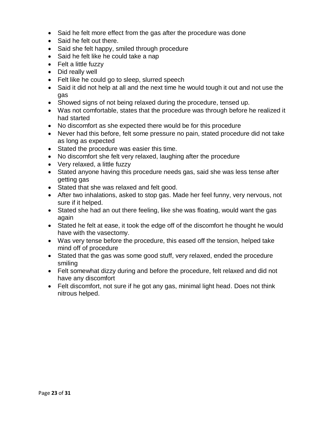- Said he felt more effect from the gas after the procedure was done
- Said he felt out there.
- Said she felt happy, smiled through procedure
- Said he felt like he could take a nap
- Felt a little fuzzy
- Did really well
- Felt like he could go to sleep, slurred speech
- Said it did not help at all and the next time he would tough it out and not use the gas
- Showed signs of not being relaxed during the procedure, tensed up.
- Was not comfortable, states that the procedure was through before he realized it had started
- No discomfort as she expected there would be for this procedure
- Never had this before, felt some pressure no pain, stated procedure did not take as long as expected
- Stated the procedure was easier this time.
- No discomfort she felt very relaxed, laughing after the procedure
- Very relaxed, a little fuzzy
- Stated anyone having this procedure needs gas, said she was less tense after getting gas
- Stated that she was relaxed and felt good.
- After two inhalations, asked to stop gas. Made her feel funny, very nervous, not sure if it helped.
- Stated she had an out there feeling, like she was floating, would want the gas again
- Stated he felt at ease, it took the edge off of the discomfort he thought he would have with the vasectomy.
- Was very tense before the procedure, this eased off the tension, helped take mind off of procedure
- Stated that the gas was some good stuff, very relaxed, ended the procedure smiling
- Felt somewhat dizzy during and before the procedure, felt relaxed and did not have any discomfort
- Felt discomfort, not sure if he got any gas, minimal light head. Does not think nitrous helped.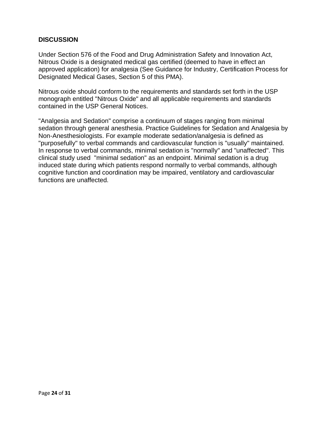#### **DISCUSSION**

Under Section 576 of the Food and Drug Administration Safety and Innovation Act, Nitrous Oxide is a designated medical gas certified (deemed to have in effect an approved application) for analgesia (See Guidance for Industry, Certification Process for Designated Medical Gases, Section 5 of this PMA).

Nitrous oxide should conform to the requirements and standards set forth in the USP monograph entitled "Nitrous Oxide" and all applicable requirements and standards contained in the USP General Notices.

"Analgesia and Sedation" comprise a continuum of stages ranging from minimal sedation through general anesthesia. Practice Guidelines for Sedation and Analgesia by Non-Anesthesiologists. For example moderate sedation/analgesia is defined as "purposefully" to verbal commands and cardiovascular function is "usually" maintained. In response to verbal commands, minimal sedation is "normally" and "unaffected". This clinical study used "minimal sedation" as an endpoint. Minimal sedation is a drug induced state during which patients respond normally to verbal commands, although cognitive function and coordination may be impaired, ventilatory and cardiovascular functions are unaffected.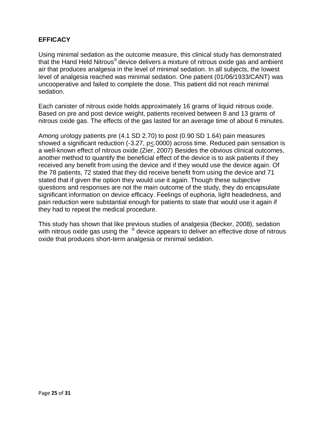#### **EFFICACY**

Using minimal sedation as the outcome measure, this clinical study has demonstrated that the Hand Held Nitrous® device delivers a mixture of nitrous oxide gas and ambient air that produces analgesia in the level of minimal sedation. In all subjects, the lowest level of analgesia reached was minimal sedation. One patient (01/06/1933/CANT) was uncooperative and failed to complete the dose. This patient did not reach minimal sedation.

Each canister of nitrous oxide holds approximately 16 grams of liquid nitrous oxide. Based on pre and post device weight, patients received between 8 and 13 grams of nitrous oxide gas. The effects of the gas lasted for an average time of about 6 minutes.

Among urology patients pre (4.1 SD 2.70) to post (0.90 SD 1.64) pain measures showed a significant reduction (-3.27, p<.0000) across time. Reduced pain sensation is a well-known effect of nitrous oxide.(Zier, 2007) Besides the obvious clinical outcomes, another method to quantify the beneficial effect of the device is to ask patients if they received any benefit from using the device and if they would use the device again. Of the 78 patients, 72 stated that they did receive benefit from using the device and 71 stated that if given the option they would use it again. Though these subjective questions and responses are not the main outcome of the study, they do encapsulate significant information on device efficacy. Feelings of euphoria, light headedness, and pain reduction were substantial enough for patients to state that would use it again if they had to repeat the medical procedure.

This study has shown that like previous studies of analgesia (Becker, 2008), sedation with nitrous oxide gas using the  $^{\circledR}$  device appears to deliver an effective dose of nitrous oxide that produces short-term analgesia or minimal sedation.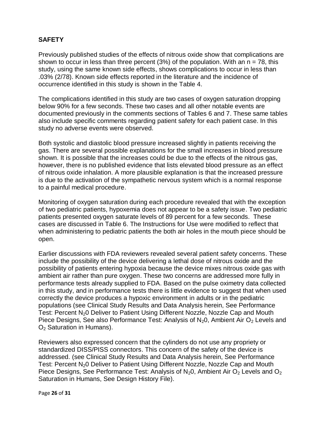#### **SAFETY**

Previously published studies of the effects of nitrous oxide show that complications are shown to occur in less than three percent (3%) of the population. With an  $n = 78$ , this study, using the same known side effects, shows complications to occur in less than .03% (2/78). Known side effects reported in the literature and the incidence of occurrence identified in this study is shown in the Table 4.

The complications identified in this study are two cases of oxygen saturation dropping below 90% for a few seconds. These two cases and all other notable events are documented previously in the comments sections of Tables 6 and 7. These same tables also include specific comments regarding patient safety for each patient case. In this study no adverse events were observed.

Both systolic and diastolic blood pressure increased slightly in patients receiving the gas. There are several possible explanations for the small increases in blood pressure shown. It is possible that the increases could be due to the effects of the nitrous gas, however, there is no published evidence that lists elevated blood pressure as an effect of nitrous oxide inhalation. A more plausible explanation is that the increased pressure is due to the activation of the sympathetic nervous system which is a normal response to a painful medical procedure.

Monitoring of oxygen saturation during each procedure revealed that with the exception of two pediatric patients, hypoxemia does not appear to be a safety issue. Two pediatric patients presented oxygen saturate levels of 89 percent for a few seconds. These cases are discussed in Table 6. The Instructions for Use were modified to reflect that when administering to pediatric patients the both air holes in the mouth piece should be open.

Earlier discussions with FDA reviewers revealed several patient safety concerns. These include the possibility of the device delivering a lethal dose of nitrous oxide and the possibility of patients entering hypoxia because the device mixes nitrous oxide gas with ambient air rather than pure oxygen. These two concerns are addressed more fully in performance tests already supplied to FDA. Based on the pulse oximetry data collected in this study, and in performance tests there is little evidence to suggest that when used correctly the device produces a hypoxic environment in adults or in the pediatric populations (see Clinical Study Results and Data Analysis herein, See Performance Test: Percent N<sub>2</sub>0 Deliver to Patient Using Different Nozzle, Nozzle Cap and Mouth Piece Designs, See also Performance Test: Analysis of  $N_2O$ , Ambient Air  $O_2$  Levels and  $O<sub>2</sub>$  Saturation in Humans).

Reviewers also expressed concern that the cylinders do not use any propriety or standardized DISS/PISS connectors. This concern of the safety of the device is addressed. (see Clinical Study Results and Data Analysis herein, See Performance Test: Percent N<sub>2</sub>0 Deliver to Patient Using Different Nozzle, Nozzle Cap and Mouth Piece Designs, See Performance Test: Analysis of  $N_2O$ , Ambient Air  $O_2$  Levels and  $O_2$ Saturation in Humans, See Design History File).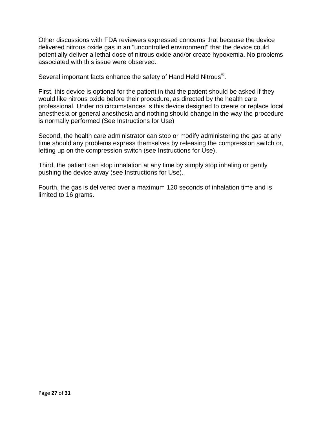Other discussions with FDA reviewers expressed concerns that because the device delivered nitrous oxide gas in an "uncontrolled environment" that the device could potentially deliver a lethal dose of nitrous oxide and/or create hypoxemia. No problems associated with this issue were observed.

Several important facts enhance the safety of Hand Held Nitrous<sup>®</sup>.

First, this device is optional for the patient in that the patient should be asked if they would like nitrous oxide before their procedure, as directed by the health care professional. Under no circumstances is this device designed to create or replace local anesthesia or general anesthesia and nothing should change in the way the procedure is normally performed (See Instructions for Use)

Second, the health care administrator can stop or modify administering the gas at any time should any problems express themselves by releasing the compression switch or, letting up on the compression switch (see Instructions for Use).

Third, the patient can stop inhalation at any time by simply stop inhaling or gently pushing the device away (see Instructions for Use).

Fourth, the gas is delivered over a maximum 120 seconds of inhalation time and is limited to 16 grams.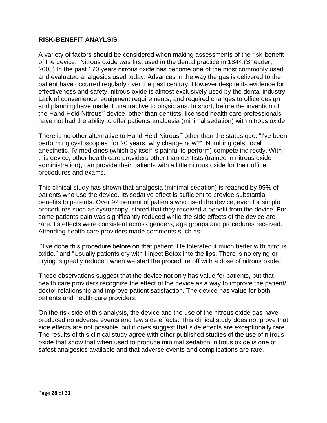#### **RISK-BENEFIT ANAYLSIS**

A variety of factors should be considered when making assessments of the risk-benefit of the device. Nitrous oxide was first used in the dental practice in 1844.(Sneader, 2005) In the past 170 years nitrous oxide has become one of the most commonly used and evaluated analgesics used today. Advances in the way the gas is delivered to the patient have occurred regularly over the past century. However despite its evidence for effectiveness and safety, nitrous oxide is almost exclusively used by the dental industry. Lack of convenience, equipment requirements, and required changes to office design and planning have made it unattractive to physicians. In short, before the invention of the Hand Held Nitrous® device, other than dentists, licensed health care professionals have not had the ability to offer patients analgesia (minimal sedation) with nitrous oxide.

There is no other alternative to Hand Held Nitrous® other than the status quo: "I've been performing cystoscopies for 20 years, why change now?" Numbing gels, local anesthetic, IV medicines (which by itself is painful to perform) compete indirectly. With this device, other health care providers other than dentists (trained in nitrous oxide administration), can provide their patients with a little nitrous oxide for their office procedures and exams.

This clinical study has shown that analgesia (minimal sedation) is reached by 99% of patients who use the device. Its sedative effect is sufficient to provide substantial benefits to patients. Over 92 percent of patients who used the device, even for simple procedures such as cystoscopy, stated that they received a benefit from the device. For some patients pain was significantly reduced while the side effects of the device are rare. Its effects were consistent across genders, age groups and procedures received. Attending health care providers made comments such as:

"I've done this procedure before on that patient. He tolerated it much better with nitrous oxide." and "Usually patients cry with I inject Botox into the lips. There is no crying or crying is greatly reduced when we start the procedure off with a dose of nitrous oxide."

These observations suggest that the device not only has value for patients, but that health care providers recognize the effect of the device as a way to improve the patient/ doctor relationship and improve patient satisfaction. The device has value for both patients and health care providers.

On the risk side of this analysis, the device and the use of the nitrous oxide gas have produced no adverse events and few side effects. This clinical study does not prove that side effects are not possible, but it does suggest that side effects are exceptionally rare. The results of this clinical study agree with other published studies of the use of nitrous oxide that show that when used to produce minimal sedation, nitrous oxide is one of safest analgesics available and that adverse events and complications are rare.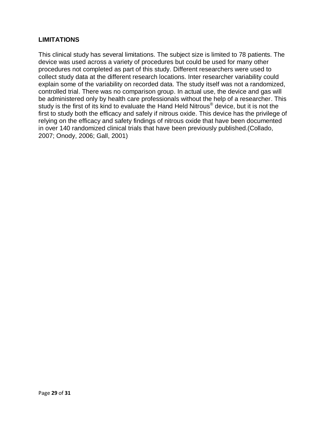#### **LIMITATIONS**

This clinical study has several limitations. The subject size is limited to 78 patients. The device was used across a variety of procedures but could be used for many other procedures not completed as part of this study. Different researchers were used to collect study data at the different research locations. Inter researcher variability could explain some of the variability on recorded data. The study itself was not a randomized, controlled trial. There was no comparison group. In actual use, the device and gas will be administered only by health care professionals without the help of a researcher. This study is the first of its kind to evaluate the Hand Held Nitrous<sup>®</sup> device, but it is not the first to study both the efficacy and safely if nitrous oxide. This device has the privilege of relying on the efficacy and safety findings of nitrous oxide that have been documented in over 140 randomized clinical trials that have been previously published.(Collado, 2007; Onody, 2006; Gall, 2001)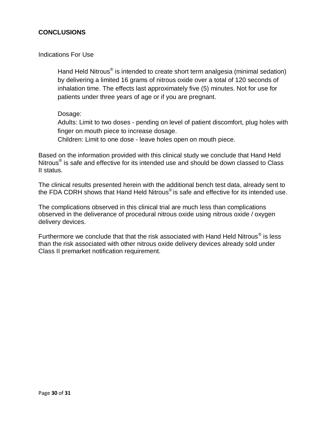#### **CONCLUSIONS**

#### Indications For Use

Hand Held Nitrous® is intended to create short term analgesia (minimal sedation) by delivering a limited 16 grams of nitrous oxide over a total of 120 seconds of inhalation time. The effects last approximately five (5) minutes. Not for use for patients under three years of age or if you are pregnant.

#### Dosage:

Adults: Limit to two doses - pending on level of patient discomfort, plug holes with finger on mouth piece to increase dosage.

Children: Limit to one dose - leave holes open on mouth piece.

Based on the information provided with this clinical study we conclude that Hand Held Nitrous<sup>®</sup> is safe and effective for its intended use and should be down classed to Class II status.

The clinical results presented herein with the additional bench test data, already sent to the FDA CDRH shows that Hand Held Nitrous® is safe and effective for its intended use.

The complications observed in this clinical trial are much less than complications observed in the deliverance of procedural nitrous oxide using nitrous oxide / oxygen delivery devices.

Furthermore we conclude that that the risk associated with Hand Held Nitrous $^{\circledR}$  is less than the risk associated with other nitrous oxide delivery devices already sold under Class II premarket notification requirement.